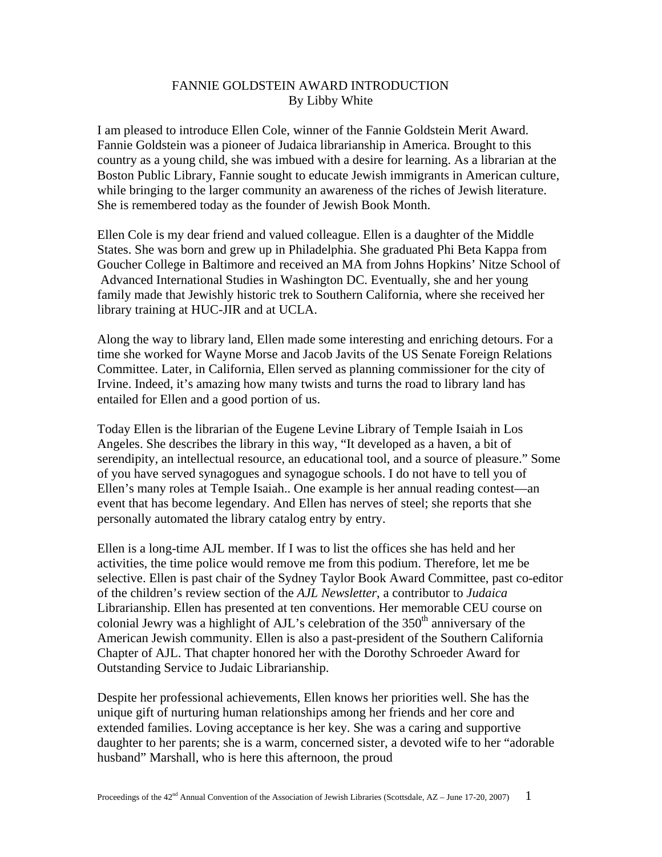## FANNIE GOLDSTEIN AWARD INTRODUCTION By Libby White

I am pleased to introduce Ellen Cole, winner of the Fannie Goldstein Merit Award. Fannie Goldstein was a pioneer of Judaica librarianship in America. Brought to this country as a young child, she was imbued with a desire for learning. As a librarian at the Boston Public Library, Fannie sought to educate Jewish immigrants in American culture, while bringing to the larger community an awareness of the riches of Jewish literature. She is remembered today as the founder of Jewish Book Month.

Ellen Cole is my dear friend and valued colleague. Ellen is a daughter of the Middle States. She was born and grew up in Philadelphia. She graduated Phi Beta Kappa from Goucher College in Baltimore and received an MA from Johns Hopkins' Nitze School of Advanced International Studies in Washington DC. Eventually, she and her young family made that Jewishly historic trek to Southern California, where she received her library training at HUC-JIR and at UCLA.

Along the way to library land, Ellen made some interesting and enriching detours. For a time she worked for Wayne Morse and Jacob Javits of the US Senate Foreign Relations Committee. Later, in California, Ellen served as planning commissioner for the city of Irvine. Indeed, it's amazing how many twists and turns the road to library land has entailed for Ellen and a good portion of us.

Today Ellen is the librarian of the Eugene Levine Library of Temple Isaiah in Los Angeles. She describes the library in this way, "It developed as a haven, a bit of serendipity, an intellectual resource, an educational tool, and a source of pleasure." Some of you have served synagogues and synagogue schools. I do not have to tell you of Ellen's many roles at Temple Isaiah.. One example is her annual reading contest—an event that has become legendary. And Ellen has nerves of steel; she reports that she personally automated the library catalog entry by entry.

Ellen is a long-time AJL member. If I was to list the offices she has held and her activities, the time police would remove me from this podium. Therefore, let me be selective. Ellen is past chair of the Sydney Taylor Book Award Committee, past co-editor of the children's review section of the *AJL Newsletter*, a contributor to *Judaica* Librarianship. Ellen has presented at ten conventions. Her memorable CEU course on colonial Jewry was a highlight of AJL's celebration of the 350<sup>th</sup> anniversary of the American Jewish community. Ellen is also a past-president of the Southern California Chapter of AJL. That chapter honored her with the Dorothy Schroeder Award for Outstanding Service to Judaic Librarianship.

Despite her professional achievements, Ellen knows her priorities well. She has the unique gift of nurturing human relationships among her friends and her core and extended families. Loving acceptance is her key. She was a caring and supportive daughter to her parents; she is a warm, concerned sister, a devoted wife to her "adorable husband" Marshall, who is here this afternoon, the proud